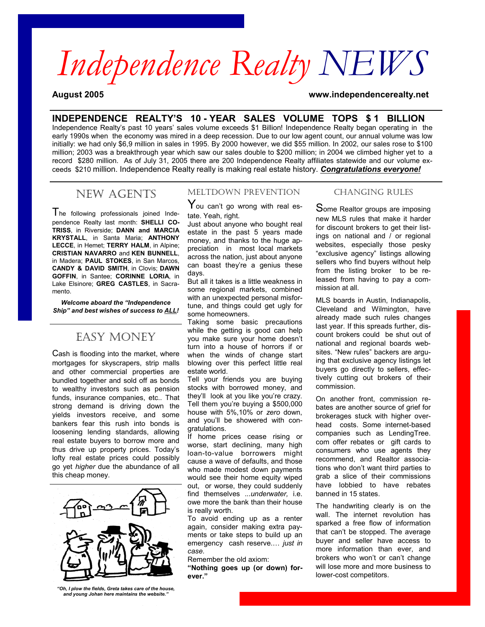# *Independence Realty NEWS*

**August 2005 www.independencerealty.net**

## **INDEPENDENCE REALTY'S 10 - YEAR SALES VOLUME TOPS \$ 1 BILLION**

Independence Realty's past 10 years' sales volume exceeds \$1 Billion! Independence Realty began operating in the early 1990s when the economy was mired in a deep recession. Due to our low agent count, our annual volume was low initially: we had only \$6,9 million in sales in 1995. By 2000 however, we did \$55 million. In 2002, our sales rose to \$100 million; 2003 was a breakthrough year which saw our sales double to \$200 million; in 2004 we climbed higher yet to a record \$280 million. As of July 31, 2005 there are 200 Independence Realty affiliates statewide and our volume exceeds \$210 million. Independence Realty really is making real estate history. *Congratulations everyone!* 

# NEW AGENTS

The following professionals joined Independence Realty last month: **SHELLI CO-TRISS**, in Riverside; **DANN and MARCIA KRYSTALL**, in Santa Maria; **ANTHONY LECCE**, in Hemet; **TERRY HALM**, in Alpine; **CRISTIAN NAVARRO** and **KEN BUNNELL**, in Madera; **PAUL STOKES**, in San Marcos, **CANDY & DAVID SMITH**, in Clovis; **DAWN GOFFIN**, in Santee; **CORINNE LORIA**, in Lake Elsinore; **GREG CASTLES**, in Sacramento.

*Welcome aboard the "Independence Ship" and best wishes of success to ALL!* 

# EASY MONEY

Cash is flooding into the market, where mortgages for skyscrapers, strip malls and other commercial properties are bundled together and sold off as bonds to wealthy investors such as pension funds, insurance companies, etc.. That strong demand is driving down the yields investors receive, and some bankers fear this rush into bonds is loosening lending standards, allowing real estate buyers to borrow more and thus drive up property prices. Today's lofty real estate prices could possibly go yet *higher* due the abundance of all this cheap money.



*"Oh, I plow the fields, Greta takes care of the house, and young Johan here maintains the website."* 

#### MELTDOWN PREVENTION

You can't go wrong with real estate. Yeah, right.

Just about anyone who bought real estate in the past 5 years made money, and thanks to the huge appreciation in most local markets across the nation, just about anyone can boast they're a genius these days.

But all it takes is a little weakness in some regional markets, combined with an unexpected personal misfortune, and things could get ugly for some homeowners.

Taking some basic precautions while the getting is good can help you make sure your home doesn't turn into a house of horrors if or when the winds of change start blowing over this perfect little real estate world.

Tell your friends you are buying stocks with borrowed money, and they'll look at you like you're crazy. Tell them you're buying a \$500,000 house with 5%,10% or *zero* down, and you'll be showered with congratulations.

If home prices cease rising or worse, start declining, many high loan-to-value borrowers might cause a wave of defaults, and those who made modest down payments would see their home equity wiped out, or worse, they could suddenly find themselves ...*underwater,* i.e. owe more the bank than their house is really worth.

To avoid ending up as a renter again, consider making extra payments or take steps to build up an emergency cash reserve.… *just in case.* 

Remember the old axiom:

**"Nothing goes up (or down) forever."**

### CHANGING RULES

Some Realtor groups are imposing new MLS rules that make it harder for discount brokers to get their listings on national and / or regional websites, especially those pesky "exclusive agency" listings allowing sellers who find buyers without help from the listing broker to be released from having to pay a commission at all.

MLS boards in Austin, Indianapolis, Cleveland and Wilmington, have already made such rules changes last year. If this spreads further, discount brokers could be shut out of national and regional boards websites. "New rules" backers are arguing that exclusive agency listings let buyers go directly to sellers, effectively cutting out brokers of their commission.

On another front, commission rebates are another source of grief for brokerages stuck with higher overhead costs. Some internet-based companies such as LendingTree. com offer rebates or gift cards to consumers who use agents they recommend, and Realtor associations who don't want third parties to grab a slice of their commissions have lobbied to have rebates banned in 15 states.

The handwriting clearly is on the wall. The internet revolution has sparked a free flow of information that can't be stopped. The average buyer and seller have access to more information than ever, and brokers who won't or can't change will lose more and more business to lower-cost competitors.